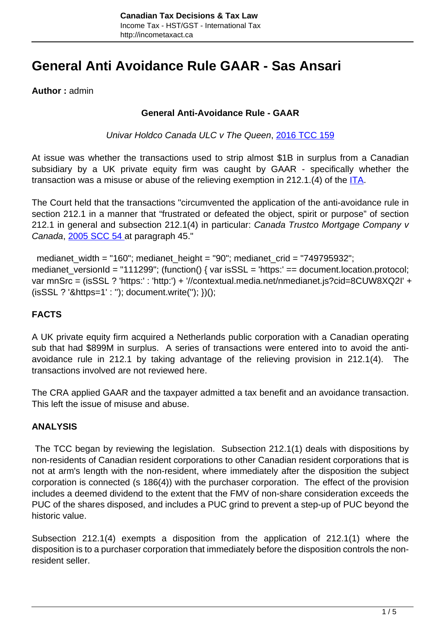# **General Anti Avoidance Rule GAAR - Sas Ansari**

**Author :** admin

#### **General Anti-Avoidance Rule - GAAR**

Univar Holdco Canada ULC v The Queen, [2016 TCC 159](http://decision.tcc-cci.gc.ca/tcc-cci/decisions/en/item/145671/index.do)

At issue was whether the transactions used to strip almost \$1B in surplus from a Canadian subsidiary by a UK private equity firm was caught by GAAR - specifically whether the transaction was a misuse or abuse of the relieving exemption in 212.1.(4) of the  $ITA$ .

The Court held that the transactions "circumvented the application of the anti-avoidance rule in section 212.1 in a manner that "frustrated or defeated the object, spirit or purpose" of section 212.1 in general and subsection 212.1(4) in particular: Canada Trustco Mortgage Company v Canada, [2005 SCC 54 a](http://scc-csc.lexum.com/scc-csc/scc-csc/en/item/2288/index.do)t paragraph 45."

 medianet\_width = "160"; medianet\_height = "90"; medianet\_crid = "749795932"; medianet\_versionId = "111299"; (function() { var isSSL = 'https:' == document.location.protocol; var mnSrc = (isSSL ? 'https:' : 'http:') + '//contextual.media.net/nmedianet.js?cid=8CUW8XQ2I' + (isSSL ? '&https=1' : ''); document.write(''); })();

# **FACTS**

A UK private equity firm acquired a Netherlands public corporation with a Canadian operating sub that had \$899M in surplus. A series of transactions were entered into to avoid the antiavoidance rule in 212.1 by taking advantage of the relieving provision in 212.1(4). The transactions involved are not reviewed here.

The CRA applied GAAR and the taxpayer admitted a tax benefit and an avoidance transaction. This left the issue of misuse and abuse.

## **ANALYSIS**

 The TCC began by reviewing the legislation. Subsection 212.1(1) deals with dispositions by non-residents of Canadian resident corporations to other Canadian resident corporations that is not at arm's length with the non-resident, where immediately after the disposition the subject corporation is connected (s 186(4)) with the purchaser corporation. The effect of the provision includes a deemed dividend to the extent that the FMV of non-share consideration exceeds the PUC of the shares disposed, and includes a PUC grind to prevent a step-up of PUC beyond the historic value.

Subsection 212.1(4) exempts a disposition from the application of 212.1(1) where the disposition is to a purchaser corporation that immediately before the disposition controls the nonresident seller.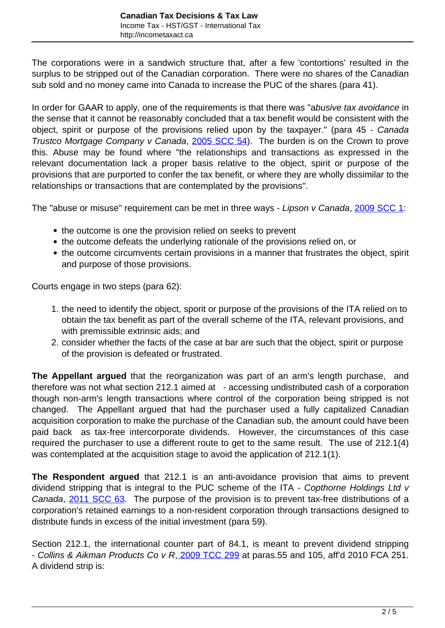The corporations were in a sandwich structure that, after a few 'contortions' resulted in the surplus to be stripped out of the Canadian corporation. There were no shares of the Canadian sub sold and no money came into Canada to increase the PUC of the shares (para 41).

In order for GAAR to apply, one of the requirements is that there was "abusive tax avoidance in the sense that it cannot be reasonably concluded that a tax benefit would be consistent with the object, spirit or purpose of the provisions relied upon by the taxpayer." (para 45 - Canada Trustco Mortgage Company v Canada, [2005 SCC 54\)](http://scc-csc.lexum.com/scc-csc/scc-csc/en/item/2288/index.do). The burden is on the Crown to prove this. Abuse may be found where "the relationships and transactions as expressed in the relevant documentation lack a proper basis relative to the object, spirit or purpose of the provisions that are purported to confer the tax benefit, or where they are wholly dissimilar to the relationships or transactions that are contemplated by the provisions".

The "abuse or misuse" requirement can be met in three ways - Lipson v Canada, [2009 SCC 1:](http://scc-csc.lexum.com/scc-csc/scc-csc/en/item/2670/index.do)

- the outcome is one the provision relied on seeks to prevent
- the outcome defeats the underlying rationale of the provisions relied on, or
- the outcome circumvents certain provisions in a manner that frustrates the object, spirit and purpose of those provisions.

Courts engage in two steps (para 62):

- 1. the need to identify the object, sporit or purpose of the provisions of the ITA relied on to obtain the tax benefit as part of the overall scheme of the ITA, relevant provisions, and with premissible extrinsic aids; and
- 2. consider whether the facts of the case at bar are such that the object, spirit or purpose of the provision is defeated or frustrated.

**The Appellant argued** that the reorganization was part of an arm's length purchase, and therefore was not what section 212.1 aimed at - accessing undistributed cash of a corporation though non-arm's length transactions where control of the corporation being stripped is not changed. The Appellant argued that had the purchaser used a fully capitalized Canadian acquisition corporation to make the purchase of the Canadian sub, the amount could have been paid back as tax-free intercorporate dividends. However, the circumstances of this case required the purchaser to use a different route to get to the same result. The use of 212.1(4) was contemplated at the acquisition stage to avoid the application of 212.1(1).

**The Respondent argued** that 212.1 is an anti-avoidance provision that aims to prevent dividend stripping that is integral to the PUC scheme of the ITA - Copthorne Holdings Ltd v Canada, [2011 SCC 63.](http://scc-csc.lexum.com/scc-csc/scc-csc/en/item/7981/index.do) The purpose of the provision is to prevent tax-free distributions of a corporation's retained earnings to a non-resident corporation through transactions designed to distribute funds in excess of the initial investment (para 59).

Section 212.1, the international counter part of 84.1, is meant to prevent dividend stripping - Collins & Aikman Products Co v R, [2009 TCC 299](http://canlii.ca/t/23z50) at paras.55 and 105, aff'd 2010 FCA 251. A dividend strip is: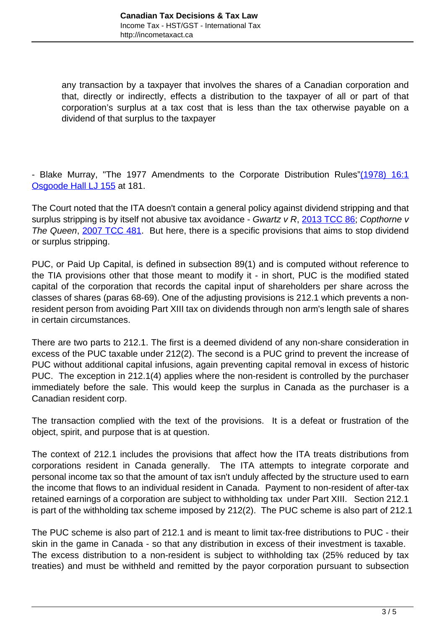any transaction by a taxpayer that involves the shares of a Canadian corporation and that, directly or indirectly, effects a distribution to the taxpayer of all or part of that corporation's surplus at a tax cost that is less than the tax otherwise payable on a dividend of that surplus to the taxpayer

- Blake Murray, "The 1977 Amendments to the Corporate Distribution Rules["\(1978\) 16:1](http://digitalcommons.osgoode.yorku.ca/cgi/viewcontent.cgi?article=2108&context=ohlj) [Osgoode Hall LJ 155](http://digitalcommons.osgoode.yorku.ca/cgi/viewcontent.cgi?article=2108&context=ohlj) at 181.

The Court noted that the ITA doesn't contain a general policy against dividend stripping and that surplus stripping is by itself not abusive tax avoidance - Gwartz v R,  $2013$  TCC 86; Copthorne v The Queen, [2007 TCC 481](http://canlii.ca/t/20rvr). But here, there is a specific provisions that aims to stop dividend or surplus stripping.

PUC, or Paid Up Capital, is defined in subsection 89(1) and is computed without reference to the TIA provisions other that those meant to modify it - in short, PUC is the modified stated capital of the corporation that records the capital input of shareholders per share across the classes of shares (paras 68-69). One of the adjusting provisions is 212.1 which prevents a nonresident person from avoiding Part XIII tax on dividends through non arm's length sale of shares in certain circumstances.

There are two parts to 212.1. The first is a deemed dividend of any non-share consideration in excess of the PUC taxable under 212(2). The second is a PUC grind to prevent the increase of PUC without additional capital infusions, again preventing capital removal in excess of historic PUC. The exception in 212.1(4) applies where the non-resident is controlled by the purchaser immediately before the sale. This would keep the surplus in Canada as the purchaser is a Canadian resident corp.

The transaction complied with the text of the provisions. It is a defeat or frustration of the object, spirit, and purpose that is at question.

The context of 212.1 includes the provisions that affect how the ITA treats distributions from corporations resident in Canada generally. The ITA attempts to integrate corporate and personal income tax so that the amount of tax isn't unduly affected by the structure used to earn the income that flows to an individual resident in Canada. Payment to non-resident of after-tax retained earnings of a corporation are subject to withholding tax under Part XIII. Section 212.1 is part of the withholding tax scheme imposed by 212(2). The PUC scheme is also part of 212.1

The PUC scheme is also part of 212.1 and is meant to limit tax-free distributions to PUC - their skin in the game in Canada - so that any distribution in excess of their investment is taxable. The excess distribution to a non-resident is subject to withholding tax (25% reduced by tax treaties) and must be withheld and remitted by the payor corporation pursuant to subsection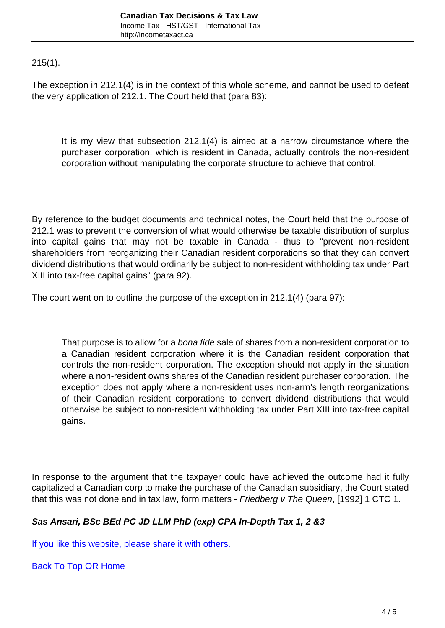<span id="page-3-0"></span>215(1).

The exception in 212.1(4) is in the context of this whole scheme, and cannot be used to defeat the very application of 212.1. The Court held that (para 83):

It is my view that subsection 212.1(4) is aimed at a narrow circumstance where the purchaser corporation, which is resident in Canada, actually controls the non-resident corporation without manipulating the corporate structure to achieve that control.

By reference to the budget documents and technical notes, the Court held that the purpose of 212.1 was to prevent the conversion of what would otherwise be taxable distribution of surplus into capital gains that may not be taxable in Canada - thus to "prevent non-resident shareholders from reorganizing their Canadian resident corporations so that they can convert dividend distributions that would ordinarily be subject to non-resident withholding tax under Part XIII into tax-free capital gains" (para 92).

The court went on to outline the purpose of the exception in 212.1(4) (para 97):

That purpose is to allow for a bona fide sale of shares from a non-resident corporation to a Canadian resident corporation where it is the Canadian resident corporation that controls the non-resident corporation. The exception should not apply in the situation where a non-resident owns shares of the Canadian resident purchaser corporation. The exception does not apply where a non-resident uses non-arm's length reorganizations of their Canadian resident corporations to convert dividend distributions that would otherwise be subject to non-resident withholding tax under Part XIII into tax-free capital gains.

In response to the argument that the taxpayer could have achieved the outcome had it fully capitalized a Canadian corp to make the purchase of the Canadian subsidiary, the Court stated that this was not done and in tax law, form matters - Friedberg v The Queen, [1992] 1 CTC 1.

## **Sas Ansari, BSc BEd PC JD LLM PhD (exp) CPA In-Depth Tax 1, 2 &3**

If you like this website, please share it with others.

[Back To Top](#page-3-0) OR [Home](http://incometaxact.ca)